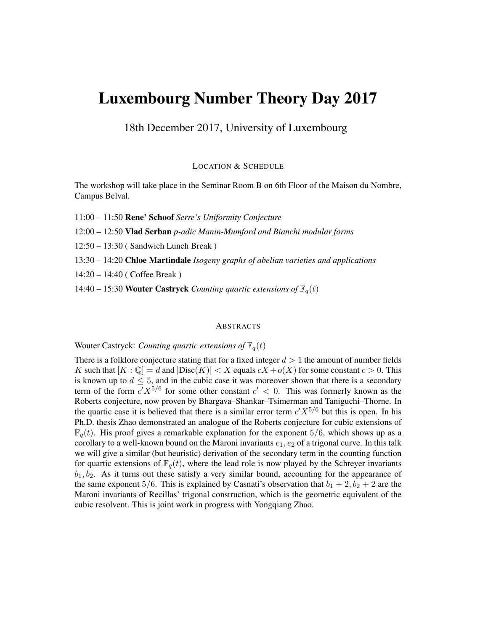# Luxembourg Number Theory Day 2017

18th December 2017, University of Luxembourg

LOCATION & SCHEDULE

The workshop will take place in the Seminar Room B on 6th Floor of the Maison du Nombre, Campus Belval.

11:00 – 11:50 Rene' Schoof *Serre's Uniformity Conjecture*

12:00 – 12:50 Vlad Serban *p-adic Manin-Mumford and Bianchi modular forms*

12:50 – 13:30 ( Sandwich Lunch Break )

13:30 – 14:20 Chloe Martindale *Isogeny graphs of abelian varieties and applications*

14:20 – 14:40 ( Coffee Break )

14:40 – 15:30 **Wouter Castryck** *Counting quartic extensions of*  $\mathbb{F}_q(t)$ 

#### **ABSTRACTS**

Wouter Castryck: *Counting quartic extensions of*  $\mathbb{F}_q(t)$ 

There is a folklore conjecture stating that for a fixed integer  $d > 1$  the amount of number fields K such that  $[K : \mathbb{Q}] = d$  and  $|\text{Disc}(K)| < X$  equals  $cX + o(X)$  for some constant  $c > 0$ . This is known up to  $d \leq 5$ , and in the cubic case it was moreover shown that there is a secondary term of the form  $c'X^{5/6}$  for some other constant  $c' < 0$ . This was formerly known as the Roberts conjecture, now proven by Bhargava–Shankar–Tsimerman and Taniguchi–Thorne. In the quartic case it is believed that there is a similar error term  $c'X^{5/6}$  but this is open. In his Ph.D. thesis Zhao demonstrated an analogue of the Roberts conjecture for cubic extensions of  $\mathbb{F}_q(t)$ . His proof gives a remarkable explanation for the exponent 5/6, which shows up as a corollary to a well-known bound on the Maroni invariants  $e_1, e_2$  of a trigonal curve. In this talk we will give a similar (but heuristic) derivation of the secondary term in the counting function for quartic extensions of  $\mathbb{F}_q(t)$ , where the lead role is now played by the Schreyer invariants  $b_1, b_2$ . As it turns out these satisfy a very similar bound, accounting for the appearance of the same exponent 5/6. This is explained by Casnati's observation that  $b_1 + 2$ ,  $b_2 + 2$  are the Maroni invariants of Recillas' trigonal construction, which is the geometric equivalent of the cubic resolvent. This is joint work in progress with Yongqiang Zhao.